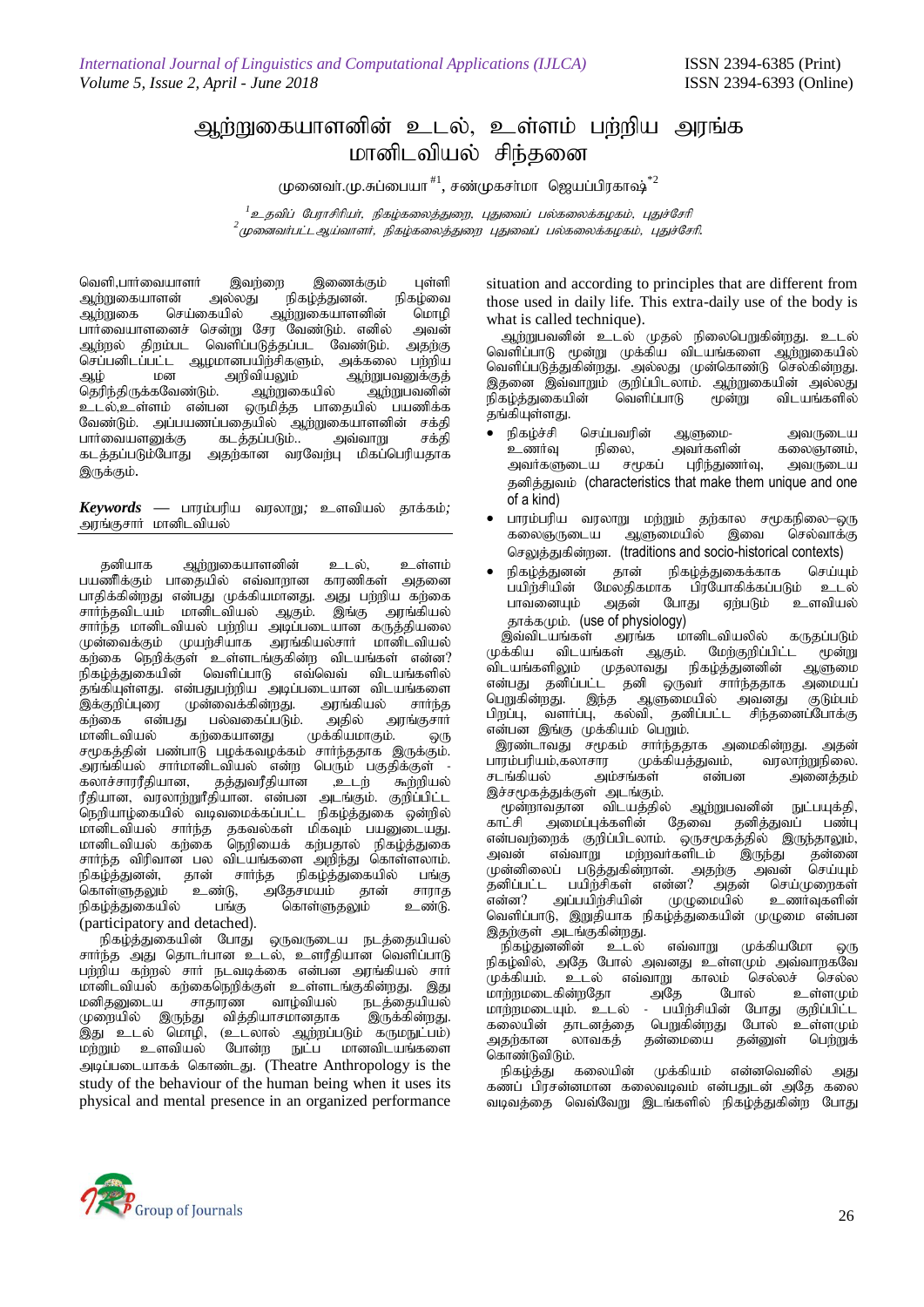## அற்றுகையாளனின் உடல், உள்ளம் பற்றிய அரங்க மானிடவியல் சிந்தனை

முனைவர்.மு.சுப்பையா  $^{\text{\#}1}$ , சண்முகசர்மா ஜெயப்பிரகாஷ் $^{\ast 2}$ 

<sup>1</sup> உதவிப் பேராசிரியர், நிகழ்கலைத்துறை, புதுவைப் பல்கலைக்கழகம், புதுச்சேரி <sub>2</sub><br>2 முனைவர்பட்டஆய்வாளர், நிகழ்கலைத்துறை புதுவைப் பல்கலைக்கழகம், புதுச்சேரி.

வெளி,பார்வையாளர் இவற்றை இணைக்கும் புள்ளி<br>ஆற்றுகையாளன் அல்லது நிகழ்த்துனன். நிகழ்வை ஆற்றுகையாளன் அல்லது நிகழ்த்துனன். நிகழ்வை<br>அ.ர்றுகை செய்கையில் அர்றுகையாளனின் மொமி ஆற்றுகையாளனின் மொழி<br>ர வேண்டும். எனில் அவன் பார்வையாளனைச் சென்று சேர வேண்டும். எனில் அவன்<br>ஆற்றல் திறம்பட வெளிப்படுத்தப்பட வேண்டும். அதற்கு வெளிப்படுத்தப்பட வேண்டும். nrg;gdplg;gl ;l Mokhdgapw;rpfSk;> mf;fiy gw;wpa ஆழ் மன <sup>- -</sup> அறிவியலும் - ஆற்றுபவனுக்குத்<br>தெரிந்திருக்கவேண்டும். - ஆற்றுகையில் - ஆற்றுபவனின் தெரிந்திருக்கவேண்டும்.<br>உடல்,உள்ளம் என்பன ஒருமித்த பாதையில் பயணிக்க<br>கயில் ஆற்றுகையாளனின் சக்கி வேண்டும். அப்பயணப்பதையில் ஆற்றுகையாளனின் சக்தி<br>பார்வையளனுக்கு கடத்தப்படும்.. அவ்வாறு சக்தி பார்வையளனுக்கு<br>கடக்கப்படும்போகு ்அதற்கான வரவேற்பு மிகப்பெரியதாக இருக்கும்.

 $Keywords$  — பாரம்பரிய வரலாறு; உளவியல் தாக்கம்; அரங்குசார் மானிடவியல்

தனியாக ஆற்றுகையாளனின் உடல், உள்ளம் பயணிக்கும் பாதையில் எவ்வாறான காரணிகள் அகனை பாதிக்கின்றது என்பது முக்கியமானது. அது பற்றிய கற்கை<br>சார்ந்தவிடயம் மானிடவியல் ஆகும். இங்கு அரங்கியல் சார்ந்தவிடயம் மானிடவியல் ஆகும். சார்ந்த மானிடவியல் பற்றிய அடிப்படையான கருத்தியலை முன்வைக்கும் முயற்சியாக அரங்கியல்சார் மானிடவியல் ்கற்கை நெறிக்குள் உள்ளடங்குகின்ற விடயங்கள் என்ன?<br>நிகழ்த்துகையின் வெளிப்பாடு எவ்வெவ் விடயங்களில் எவ்வெவ் விடயங்களில் .<br>தங்கியுள்ளது. என்பதுபற்றிய அடிப்படையான விடயங்களை<br>இக்குறிப்புரை முன்வைக்கின்றது. அரங்கியல் சார்ந்த இக்குறிப்புரை முன்வைக்கின்றது. அரங்கியல் சார்ந்த<br>கற்கை என்பது பல்வகைப்படும். அதில் அரங்குசார் கற்கை என்பது பல்வகைப்படும். அதில் அ<br>மானிடவியல் கற்கையானது முக்கியமாகும். மானிடவியல் கற்கையானது முக்கியமாகும். ஒரு சமூகத்தின் பண்பாடு பழக்கவழக்கம் சார்ந்ததாக இருக்கும். அரங்கியல் சார்மானிடவியல் என்ற பெரும் பகுதிக்குள் -<br>கலாச்சாரரீதியான, தத்துவரீதியான ,உடற் கூற்றியல் தத்துவரீதியான ரீதியான, வரலாற்றுரீதியான. என்பன அடங்கும். குறிப்பிட்ட நெறியாழ்கையில் வடிவமைக்கப்பட்ட நிகழ்த்துகை ஒன்றில் மானிடவியல் சார்ந்த தகவல்கள் மிகவும் பயனுடையது. மானிடவியல் கற்கை நெறியைக் கற்பதால் நிகழ்த்துகை சார்ந்த விரிவான பல விடயங்களை அறிந்து கொள்ளலாம்.<br>நிகழ்த்துனன், தான் சார்ந்த நிகழ்த்துகையில் பங்கு .<br>நான் சார்ந்த நிகழ்த்துகையில் பங்கு<br>உண்டு, அதேசமயம் தான் சாராத .<br>கொள்ளுதலும் உண்டு, அதேசமயம் தான் சாராத<br>நிகழ்த்துகையில் பங்கு கொள்ளுதலும் உண்டு. நிகழ்த்துகையில் (participatory and detached).

நிகழ்த்துகையின் போது ஒருவருடைய நடத்தையியல் சார்ந்த அது தொடர்பான உடல், உளரீதியான வெளிப்பாடு பற்றிய கற்றல் சார் நடவடிக்கை என்பன அரங்கியல் சார் ் மானிடவியல் கற்கைநெறிக்குள் உள்ளடங்குகின்றது. இது<br>மனிகலுடைய சாகாரண வாம்வியல் நடக்கையியல் ாரண வாழ்வியல் நடத்தையியல்<br>- வித்தியாசமானதாக இருக்கின்றது. முறையில் இருந்து .<br>தது உடல் மொழி, (உடலால் ஆற்றப்படும் கருமநுட்பம்)<br>மற்றும் உளவியல் போன்ற நுட்ப மானவிடயங்களை நுட்ப மானவிடயங்களை அடிப்படையாகக் கொண்டது. (Theatre Anthropology is the study of the behaviour of the human being when it uses its physical and mental presence in an organized performance

situation and according to principles that are different from those used in daily life. This extra-daily use of the body is what is called technique).

ஆற்றுபவனின் உடல் முதல் நிலைபெறுகின்றது. உடல் வெளிப்பாடு மூன்று முக்கிய விடயங்களை ஆற்றுகையில் வெளிப்படுத்துகின்றது. அல்லது முன்கொண்டு செல்கின்றது. இதனை இவ்வாறும் குறிப்பிடலாம். ஆற்றுகையின் அல்லது<br>நிகழ்த்துகையின் வெளிப்பாடு மூன்று விடயங்களில் நிகழ்த்துகையின் .<br>தங்கியுள்ளது.

- நிகழ்ச்சி செய்பவரின் ஆளுமை- அவருடைய<br>உணர்வு நிலை, அவர்களின் கலைஞானம், ல, அவர்களின் கலைஞானம்,<br>சமூகப் புரிந்துணர்வு, அவருடைய அவர்களுடைய தனித்துவம் (characteristics that make them unique and one of a kind)
- பாரம்பரிய வரலாறு மற்றும் தற்கால சமூகநிலை—ஒரு<br>கலைஞருடைய ஆளுமையில் இவை செல்வாக்கு கலைஞருவடய செலுத்துகின்றன. (traditions and socio-historical contexts)
- நிகழ்த்துனன் தான் நிகழ்த்துகைக்காக செய்யும்<br>பயிற்சியின் மேலதிகமாக பிரயோகிக்கப்படும் உடல் பயிற்சியின் மேலதிகமாக பிரயோகிக்கப்படும் உடல்<br>பாவனையும் அதன் போது ஏற்படும் உளவியல் போது ஏற்படும் ்தாக்கமும். (<mark>use of physiology)</mark><br>இவ்விடயங்கள் அரங்க ம

, இவ்விடயங்கள் அரங்க மானிடவியலில் கருதப்படும்<br>முக்கிய விடயங்கள் ஆகும். மேற்குறிப்பிட்ட மூன்று . மேற்குறிப்பிட்ட மூன்று<br>நிகழ்த்துனனின் ஆளுமை விடயங்களிலும் முதலாவது நிகழ்த்துனனின் ஆளுமை<br>என்பது தனிப்பட்ட தனி ஒருவர் சார்ந்ததாக அமையப் என்பது தனிப்பட்ட தனி ஒருவர் சார்ந்ததாக அமையப்<br>பெறுகின்றது. இந்த ஆளுமையில் அவனது குடும்பம் ்துளுமையில் அவனது குடும்பம்<br>)வி, தனிப்பட்ட சிந்தனைப்போக்கு பிறப்பு, வளர்ப்பு, கல்வி, தனிப்பட்ட என்பன இங்கு முக்கியம் பெறும்.

இரண்டாவது சமூகம் சார்ந்ததாக அமைகின்றது. அதன்<br>ஈரம்பரியம்,கலாசார முக்கியத்துவம், வரலாற்றுநிலை. ்பாரம்பரியம்,கலாசார முக்கியத்துவம், வரலாற்றுநிலை.<br>சடங்கியல் அம்சங்கள் என்பன அனைத்தம் அம்சங்கள் இச்சமூகத்துக்குள் அடங்கும்.

.<br>``` மூன்றாவதான விடயத்தில் ஆற்றுபவனின் நுட்பயுக்தி,<br>`காட்சி அமைப்புக்களின் தேவை தனித்துவப் பண்பு ் அமைப்புக்களின் என்பவற்றைக் குறிப்பிடலாம். ஒருசமூகத்தில் இருந்தாலும்,<br>அவன் எவ்வாறு மற்றவர்களிடம் இருந்து தன்னை ் மற்றவர்களிடம் இருந்து தன்னை<br>கின்றான். அகற்கு அவன் செய்யும் ு,<br>முன்னிலைப் படுத்துகின்றான். அதற்கு அவன்<br>தனிப்பட்ட பயிற்சிகள் என்ன? அதன் செய தனிப்பட்ட பயிற்சிகள் என்ன? அதன் செய்முறைகள்<br>என்ன? அப்பயிற்சியின் முழுமையில் உணர்வுகளின் அப்பயி்ந்சியின் வெளிப்பாடு, இறுதியாக நிகழ்த்துகையின் முழுமை என்பன இதற்குள் அடங்குகின்றது.<br>நிகம்குனனின் உடல்

.<br>நிகழ்துனனின் உடல் எவ்வாறு முக்கியமோ ஒரு நிகழ்வில், அதே போல் அவனது உள்ளமும் அவ்வாறகவே<br>முக்கியம். உடல் எவ்வாறு காலம் செல்லச் செல்ல ் எவ்வாறு காலம் செல்லச் செல்ல<br>அதே போல் உள்ளமும் khw ;wkilfpd;wNjh mNj Nghy; cs;sKk; மாற்றமடையும். உடல் - பயிற்சியின் போது குறிப்பிட்ட<br>கலையின் தாடனத்தை பெறுகின்றது போல் உள்ளமும் கலையின் தாடனத்தை பெறுகின்றது போல் உள்ளமும்<br>அதற்கான லாவகத் தன்மையை தன்னுள் பெற்றுக் தன்மையை

கொண்டுவிடும்.<br>நிகம்க்கட கலையின் நிகழ்த்து கலையின் முக்கியம் என்னவெனில் அது கணப் பிரசன்னமான கலைவடிவம் என்பதுடன் அதே கலை வடிவத்தை வெவ்வேறு இடங்களில் நிகழ்த்துகின்ற போது